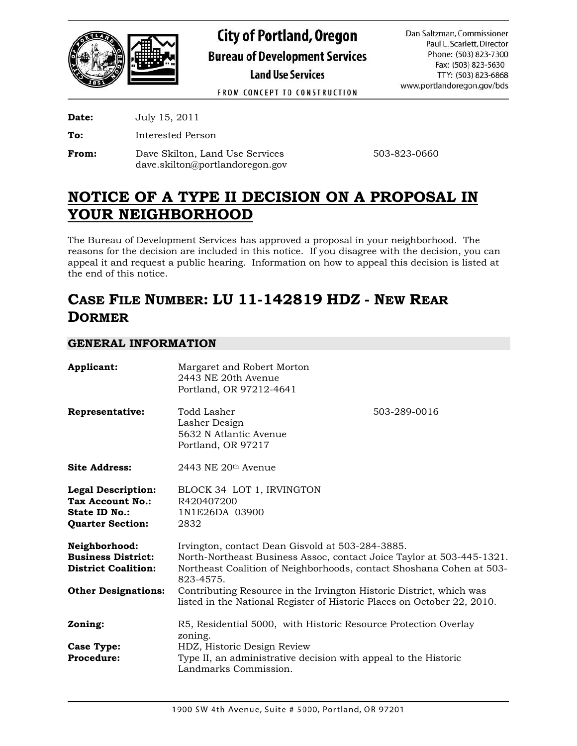

**City of Portland, Oregon Bureau of Development Services Land Use Services** 

Dan Saltzman, Commissioner Paul L. Scarlett, Director Phone: (503) 823-7300 Fax: (503) 823-5630 TTY: (503) 823-6868 www.portlandoregon.gov/bds

FROM CONCEPT TO CONSTRUCTION

**Date:** July 15, 2011

**To:** Interested Person

**From:** Dave Skilton, Land Use Services 503-823-0660 dave.skilton@portlandoregon.gov

# **NOTICE OF A TYPE II DECISION ON A PROPOSAL IN YOUR NEIGHBORHOOD**

The Bureau of Development Services has approved a proposal in your neighborhood. The reasons for the decision are included in this notice. If you disagree with the decision, you can appeal it and request a public hearing. Information on how to appeal this decision is listed at the end of this notice.

# **CASE FILE NUMBER: LU 11-142819 HDZ - NEW REAR DORMER**

# **GENERAL INFORMATION**

| Applicant:                                                                                              | Margaret and Robert Morton<br>2443 NE 20th Avenue<br>Portland, OR 97212-4641                                                                                                                                   |              |  |
|---------------------------------------------------------------------------------------------------------|----------------------------------------------------------------------------------------------------------------------------------------------------------------------------------------------------------------|--------------|--|
| Representative:                                                                                         | Todd Lasher<br>Lasher Design<br>5632 N Atlantic Avenue<br>Portland, OR 97217                                                                                                                                   | 503-289-0016 |  |
| <b>Site Address:</b>                                                                                    | $2443$ NE $20th$ Avenue                                                                                                                                                                                        |              |  |
| <b>Legal Description:</b><br><b>Tax Account No.:</b><br><b>State ID No.:</b><br><b>Quarter Section:</b> | BLOCK 34 LOT 1, IRVINGTON<br>R420407200<br>1N1E26DA 03900<br>2832                                                                                                                                              |              |  |
| Neighborhood:<br><b>Business District:</b><br><b>District Coalition:</b>                                | Irvington, contact Dean Gisvold at 503-284-3885.<br>North-Northeast Business Assoc, contact Joice Taylor at 503-445-1321.<br>Northeast Coalition of Neighborhoods, contact Shoshana Cohen at 503-<br>823-4575. |              |  |
| <b>Other Designations:</b>                                                                              | Contributing Resource in the Irvington Historic District, which was<br>listed in the National Register of Historic Places on October 22, 2010.                                                                 |              |  |
| Zoning:                                                                                                 | R5, Residential 5000, with Historic Resource Protection Overlay<br>zoning.                                                                                                                                     |              |  |
| Case Type:<br><b>Procedure:</b>                                                                         | HDZ, Historic Design Review<br>Type II, an administrative decision with appeal to the Historic<br>Landmarks Commission.                                                                                        |              |  |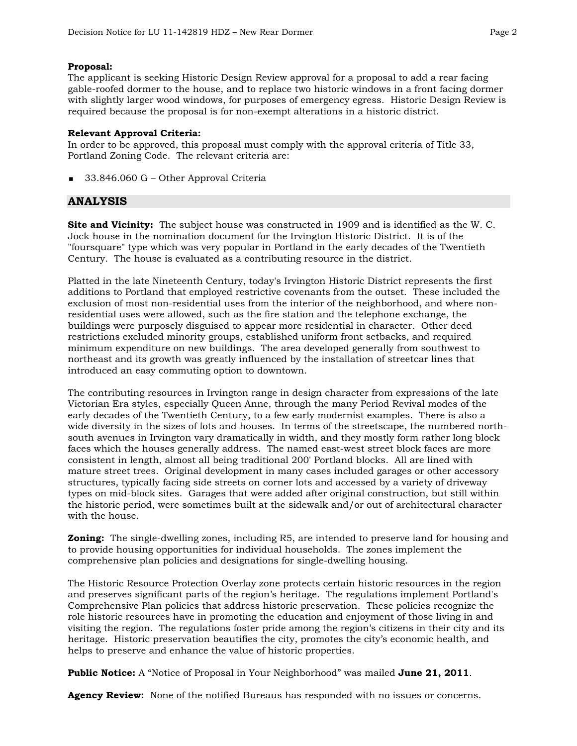## **Proposal:**

The applicant is seeking Historic Design Review approval for a proposal to add a rear facing gable-roofed dormer to the house, and to replace two historic windows in a front facing dormer with slightly larger wood windows, for purposes of emergency egress. Historic Design Review is required because the proposal is for non-exempt alterations in a historic district.

#### **Relevant Approval Criteria:**

In order to be approved, this proposal must comply with the approval criteria of Title 33, Portland Zoning Code. The relevant criteria are:

33.846.060 G – Other Approval Criteria

# **ANALYSIS**

**Site and Vicinity:** The subject house was constructed in 1909 and is identified as the W. C. Jock house in the nomination document for the Irvington Historic District. It is of the "foursquare" type which was very popular in Portland in the early decades of the Twentieth Century. The house is evaluated as a contributing resource in the district.

Platted in the late Nineteenth Century, today's Irvington Historic District represents the first additions to Portland that employed restrictive covenants from the outset. These included the exclusion of most non-residential uses from the interior of the neighborhood, and where nonresidential uses were allowed, such as the fire station and the telephone exchange, the buildings were purposely disguised to appear more residential in character. Other deed restrictions excluded minority groups, established uniform front setbacks, and required minimum expenditure on new buildings. The area developed generally from southwest to northeast and its growth was greatly influenced by the installation of streetcar lines that introduced an easy commuting option to downtown.

The contributing resources in Irvington range in design character from expressions of the late Victorian Era styles, especially Queen Anne, through the many Period Revival modes of the early decades of the Twentieth Century, to a few early modernist examples. There is also a wide diversity in the sizes of lots and houses. In terms of the streetscape, the numbered northsouth avenues in Irvington vary dramatically in width, and they mostly form rather long block faces which the houses generally address. The named east-west street block faces are more consistent in length, almost all being traditional 200' Portland blocks. All are lined with mature street trees. Original development in many cases included garages or other accessory structures, typically facing side streets on corner lots and accessed by a variety of driveway types on mid-block sites. Garages that were added after original construction, but still within the historic period, were sometimes built at the sidewalk and/or out of architectural character with the house.

**Zoning:** The single-dwelling zones, including R5, are intended to preserve land for housing and to provide housing opportunities for individual households. The zones implement the comprehensive plan policies and designations for single-dwelling housing.

The Historic Resource Protection Overlay zone protects certain historic resources in the region and preserves significant parts of the region's heritage. The regulations implement Portland's Comprehensive Plan policies that address historic preservation. These policies recognize the role historic resources have in promoting the education and enjoyment of those living in and visiting the region. The regulations foster pride among the region's citizens in their city and its heritage. Historic preservation beautifies the city, promotes the city's economic health, and helps to preserve and enhance the value of historic properties.

**Public Notice:** A "Notice of Proposal in Your Neighborhood" was mailed **June 21, 2011**.

**Agency Review:** None of the notified Bureaus has responded with no issues or concerns.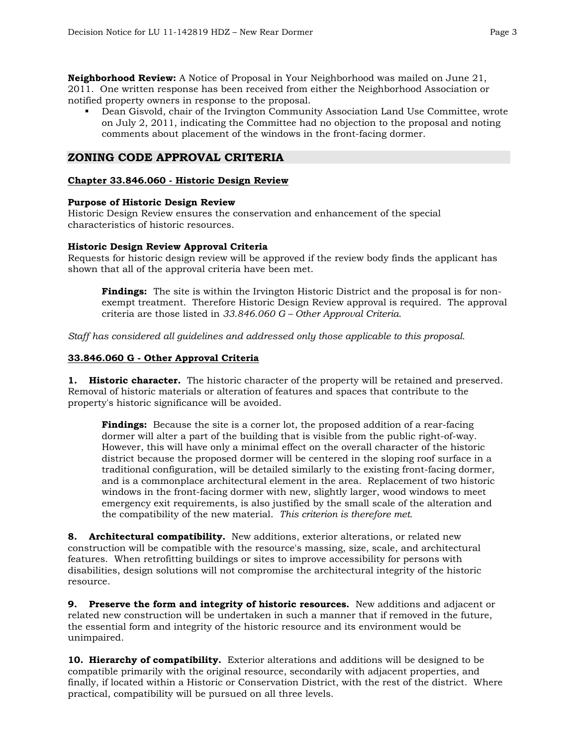**Neighborhood Review:** A Notice of Proposal in Your Neighborhood was mailed on June 21, 2011. One written response has been received from either the Neighborhood Association or notified property owners in response to the proposal.

 Dean Gisvold, chair of the Irvington Community Association Land Use Committee, wrote on July 2, 2011, indicating the Committee had no objection to the proposal and noting comments about placement of the windows in the front-facing dormer.

# **ZONING CODE APPROVAL CRITERIA**

## **Chapter 33.846.060 - Historic Design Review**

## **Purpose of Historic Design Review**

Historic Design Review ensures the conservation and enhancement of the special characteristics of historic resources.

## **Historic Design Review Approval Criteria**

Requests for historic design review will be approved if the review body finds the applicant has shown that all of the approval criteria have been met.

**Findings:** The site is within the Irvington Historic District and the proposal is for nonexempt treatment. Therefore Historic Design Review approval is required. The approval criteria are those listed in *33.846.060 G – Other Approval Criteria*.

*Staff has considered all guidelines and addressed only those applicable to this proposal.* 

# **33.846.060 G - Other Approval Criteria**

**1. Historic character.** The historic character of the property will be retained and preserved. Removal of historic materials or alteration of features and spaces that contribute to the property's historic significance will be avoided.

**Findings:** Because the site is a corner lot, the proposed addition of a rear-facing dormer will alter a part of the building that is visible from the public right-of-way. However, this will have only a minimal effect on the overall character of the historic district because the proposed dormer will be centered in the sloping roof surface in a traditional configuration, will be detailed similarly to the existing front-facing dormer, and is a commonplace architectural element in the area. Replacement of two historic windows in the front-facing dormer with new, slightly larger, wood windows to meet emergency exit requirements, is also justified by the small scale of the alteration and the compatibility of the new material. *This criterion is therefore met.* 

**8. Architectural compatibility.** New additions, exterior alterations, or related new construction will be compatible with the resource's massing, size, scale, and architectural features. When retrofitting buildings or sites to improve accessibility for persons with disabilities, design solutions will not compromise the architectural integrity of the historic resource.

**9. Preserve the form and integrity of historic resources.** New additions and adjacent or related new construction will be undertaken in such a manner that if removed in the future, the essential form and integrity of the historic resource and its environment would be unimpaired.

**10. Hierarchy of compatibility.** Exterior alterations and additions will be designed to be compatible primarily with the original resource, secondarily with adjacent properties, and finally, if located within a Historic or Conservation District, with the rest of the district. Where practical, compatibility will be pursued on all three levels.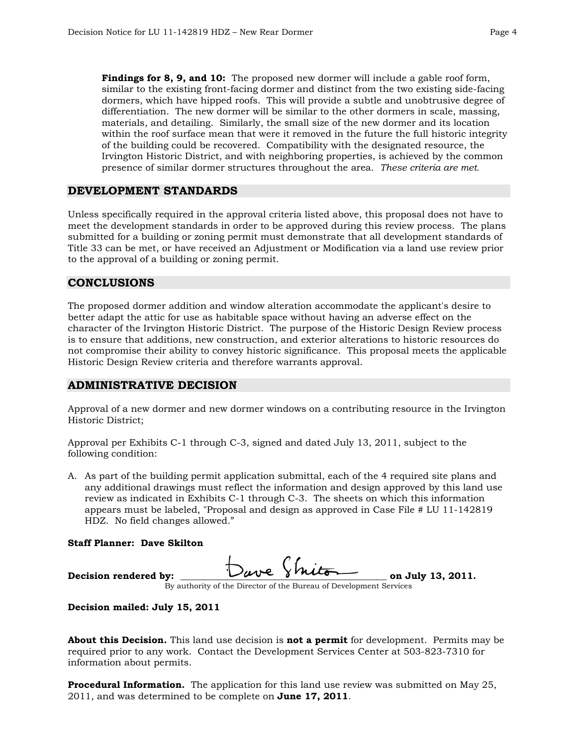**Findings for 8, 9, and 10:** The proposed new dormer will include a gable roof form, similar to the existing front-facing dormer and distinct from the two existing side-facing dormers, which have hipped roofs. This will provide a subtle and unobtrusive degree of differentiation. The new dormer will be similar to the other dormers in scale, massing, materials, and detailing. Similarly, the small size of the new dormer and its location within the roof surface mean that were it removed in the future the full historic integrity of the building could be recovered. Compatibility with the designated resource, the Irvington Historic District, and with neighboring properties, is achieved by the common presence of similar dormer structures throughout the area. *These criteria are met.* 

# **DEVELOPMENT STANDARDS**

Unless specifically required in the approval criteria listed above, this proposal does not have to meet the development standards in order to be approved during this review process. The plans submitted for a building or zoning permit must demonstrate that all development standards of Title 33 can be met, or have received an Adjustment or Modification via a land use review prior to the approval of a building or zoning permit.

# **CONCLUSIONS**

The proposed dormer addition and window alteration accommodate the applicant's desire to better adapt the attic for use as habitable space without having an adverse effect on the character of the Irvington Historic District. The purpose of the Historic Design Review process is to ensure that additions, new construction, and exterior alterations to historic resources do not compromise their ability to convey historic significance. This proposal meets the applicable Historic Design Review criteria and therefore warrants approval.

# **ADMINISTRATIVE DECISION**

Approval of a new dormer and new dormer windows on a contributing resource in the Irvington Historic District;

Approval per Exhibits C-1 through C-3, signed and dated July 13, 2011, subject to the following condition:

A. As part of the building permit application submittal, each of the 4 required site plans and any additional drawings must reflect the information and design approved by this land use review as indicated in Exhibits C-1 through C-3. The sheets on which this information appears must be labeled, "Proposal and design as approved in Case File # LU 11-142819 HDZ. No field changes allowed."

#### **Staff Planner: Dave Skilton**

| Decision rendered by:                                              |  | Dave Shiton | on July 13, 2011. |  |
|--------------------------------------------------------------------|--|-------------|-------------------|--|
| By authority of the Director of the Bureau of Development Services |  |             |                   |  |

## **Decision mailed: July 15, 2011**

**About this Decision.** This land use decision is **not a permit** for development. Permits may be required prior to any work. Contact the Development Services Center at 503-823-7310 for information about permits.

**Procedural Information.** The application for this land use review was submitted on May 25, 2011, and was determined to be complete on **June 17, 2011**.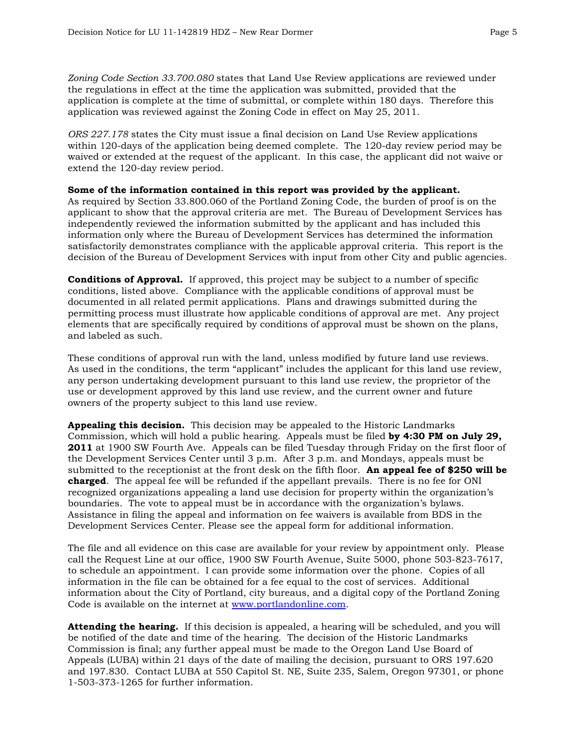*Zoning Code Section 33.700.080* states that Land Use Review applications are reviewed under the regulations in effect at the time the application was submitted, provided that the application is complete at the time of submittal, or complete within 180 days. Therefore this application was reviewed against the Zoning Code in effect on May 25, 2011.

*ORS 227.178* states the City must issue a final decision on Land Use Review applications within 120-days of the application being deemed complete. The 120-day review period may be waived or extended at the request of the applicant. In this case, the applicant did not waive or extend the 120-day review period.

#### **Some of the information contained in this report was provided by the applicant.**

As required by Section 33.800.060 of the Portland Zoning Code, the burden of proof is on the applicant to show that the approval criteria are met. The Bureau of Development Services has independently reviewed the information submitted by the applicant and has included this information only where the Bureau of Development Services has determined the information satisfactorily demonstrates compliance with the applicable approval criteria. This report is the decision of the Bureau of Development Services with input from other City and public agencies.

**Conditions of Approval.** If approved, this project may be subject to a number of specific conditions, listed above. Compliance with the applicable conditions of approval must be documented in all related permit applications. Plans and drawings submitted during the permitting process must illustrate how applicable conditions of approval are met. Any project elements that are specifically required by conditions of approval must be shown on the plans, and labeled as such.

These conditions of approval run with the land, unless modified by future land use reviews. As used in the conditions, the term "applicant" includes the applicant for this land use review, any person undertaking development pursuant to this land use review, the proprietor of the use or development approved by this land use review, and the current owner and future owners of the property subject to this land use review.

**Appealing this decision.** This decision may be appealed to the Historic Landmarks Commission, which will hold a public hearing. Appeals must be filed **by 4:30 PM on July 29, 2011** at 1900 SW Fourth Ave. Appeals can be filed Tuesday through Friday on the first floor of the Development Services Center until 3 p.m. After 3 p.m. and Mondays, appeals must be submitted to the receptionist at the front desk on the fifth floor. **An appeal fee of \$250 will be charged**. The appeal fee will be refunded if the appellant prevails. There is no fee for ONI recognized organizations appealing a land use decision for property within the organization's boundaries. The vote to appeal must be in accordance with the organization's bylaws. Assistance in filing the appeal and information on fee waivers is available from BDS in the Development Services Center. Please see the appeal form for additional information.

The file and all evidence on this case are available for your review by appointment only. Please call the Request Line at our office, 1900 SW Fourth Avenue, Suite 5000, phone 503-823-7617, to schedule an appointment. I can provide some information over the phone. Copies of all information in the file can be obtained for a fee equal to the cost of services. Additional information about the City of Portland, city bureaus, and a digital copy of the Portland Zoning Code is available on the internet at [www.portlandonline.com](http://www.ci.portland.or.us/).

**Attending the hearing.** If this decision is appealed, a hearing will be scheduled, and you will be notified of the date and time of the hearing. The decision of the Historic Landmarks Commission is final; any further appeal must be made to the Oregon Land Use Board of Appeals (LUBA) within 21 days of the date of mailing the decision, pursuant to ORS 197.620 and 197.830. Contact LUBA at 550 Capitol St. NE, Suite 235, Salem, Oregon 97301, or phone 1-503-373-1265 for further information.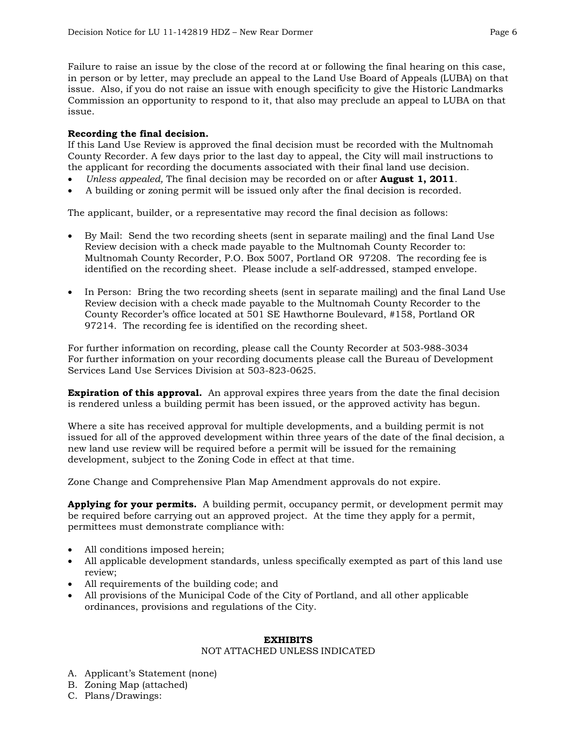Failure to raise an issue by the close of the record at or following the final hearing on this case, in person or by letter, may preclude an appeal to the Land Use Board of Appeals (LUBA) on that issue. Also, if you do not raise an issue with enough specificity to give the Historic Landmarks Commission an opportunity to respond to it, that also may preclude an appeal to LUBA on that issue.

# **Recording the final decision.**

If this Land Use Review is approved the final decision must be recorded with the Multnomah County Recorder. A few days prior to the last day to appeal, the City will mail instructions to the applicant for recording the documents associated with their final land use decision.

- *Unless appealed,* The final decision may be recorded on or after **August 1, 2011**.
- A building or zoning permit will be issued only after the final decision is recorded.

The applicant, builder, or a representative may record the final decision as follows:

- By Mail: Send the two recording sheets (sent in separate mailing) and the final Land Use Review decision with a check made payable to the Multnomah County Recorder to: Multnomah County Recorder, P.O. Box 5007, Portland OR 97208. The recording fee is identified on the recording sheet. Please include a self-addressed, stamped envelope.
- In Person: Bring the two recording sheets (sent in separate mailing) and the final Land Use Review decision with a check made payable to the Multnomah County Recorder to the County Recorder's office located at 501 SE Hawthorne Boulevard, #158, Portland OR 97214. The recording fee is identified on the recording sheet.

For further information on recording, please call the County Recorder at 503-988-3034 For further information on your recording documents please call the Bureau of Development Services Land Use Services Division at 503-823-0625.

**Expiration of this approval.** An approval expires three years from the date the final decision is rendered unless a building permit has been issued, or the approved activity has begun.

Where a site has received approval for multiple developments, and a building permit is not issued for all of the approved development within three years of the date of the final decision, a new land use review will be required before a permit will be issued for the remaining development, subject to the Zoning Code in effect at that time.

Zone Change and Comprehensive Plan Map Amendment approvals do not expire.

**Applying for your permits.** A building permit, occupancy permit, or development permit may be required before carrying out an approved project. At the time they apply for a permit, permittees must demonstrate compliance with:

- All conditions imposed herein;
- All applicable development standards, unless specifically exempted as part of this land use review;
- All requirements of the building code; and
- All provisions of the Municipal Code of the City of Portland, and all other applicable ordinances, provisions and regulations of the City.

## **EXHIBITS**

## NOT ATTACHED UNLESS INDICATED

- A. Applicant's Statement (none)
- B. Zoning Map (attached)
- C. Plans/Drawings: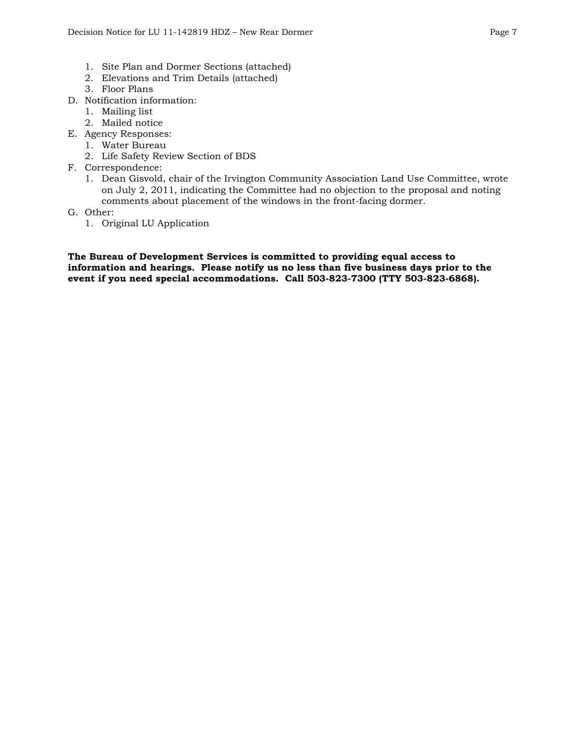- 1. Site Plan and Dormer Sections (attached)
- 2. Elevations and Trim Details (attached)
- 3. Floor Plans
- D. Notification information:
	- 1. Mailing list
	- 2. Mailed notice
- E. Agency Responses:
	- 1. Water Bureau
	- 2. Life Safety Review Section of BDS
- F. Correspondence:
	- 1. Dean Gisvold, chair of the Irvington Community Association Land Use Committee, wrote on July 2, 2011, indicating the Committee had no objection to the proposal and noting comments about placement of the windows in the front-facing dormer.
- G. Other:
	- 1. Original LU Application

**The Bureau of Development Services is committed to providing equal access to information and hearings. Please notify us no less than five business days prior to the event if you need special accommodations. Call 503-823-7300 (TTY 503-823-6868).**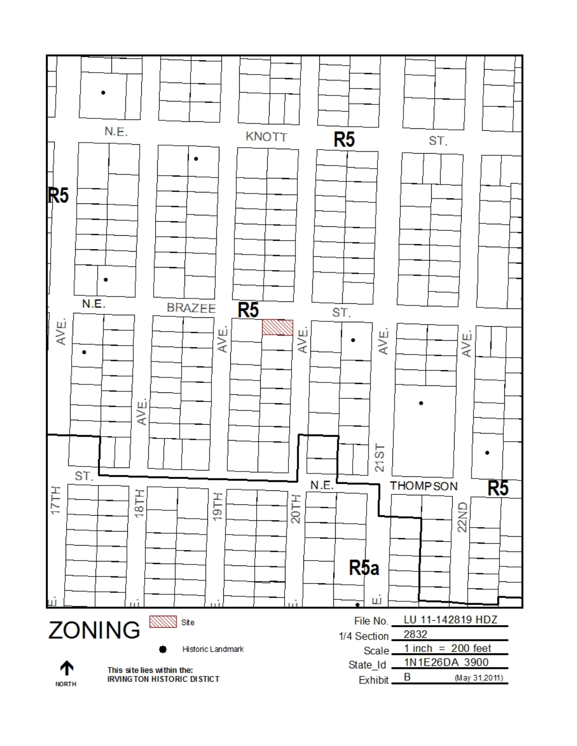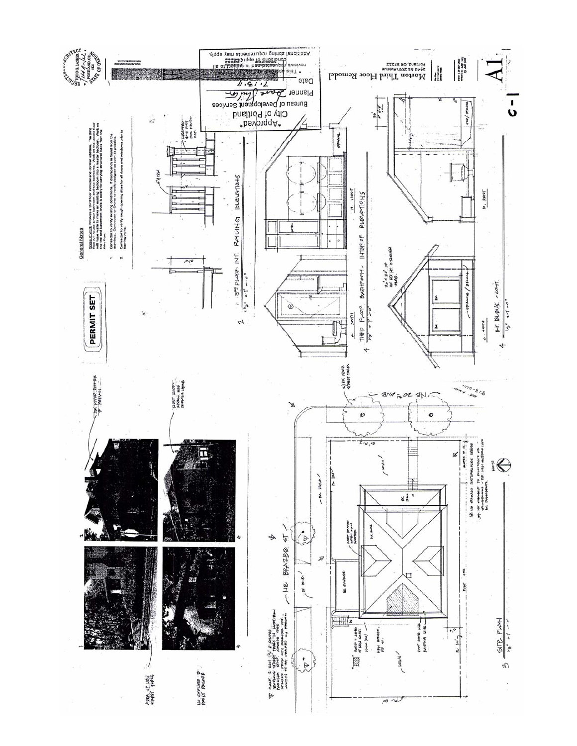